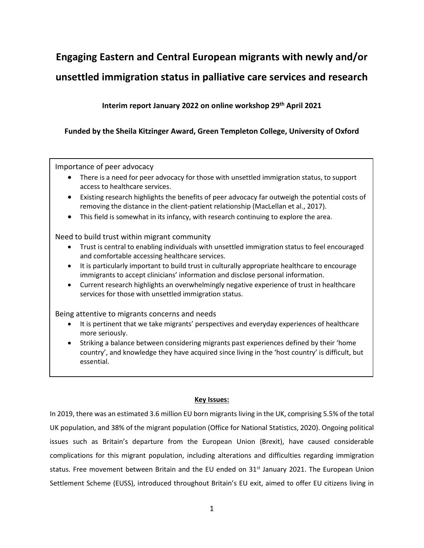# **Engaging Eastern and Central European migrants with newly and/or unsettled immigration status in palliative care services and research**

# **Interim report January 2022 on online workshop 29th April 2021**

# **Funded by the Sheila Kitzinger Award, Green Templeton College, University of Oxford**

Importance of peer advocacy

- There is a need for peer advocacy for those with unsettled immigration status, to support access to healthcare services.
- Existing research highlights the benefits of peer advocacy far outweigh the potential costs of removing the distance in the client-patient relationship (MacLellan et al., 2017).
- This field is somewhat in its infancy, with research continuing to explore the area.

Need to build trust within migrant community

- Trust is central to enabling individuals with unsettled immigration status to feel encouraged and comfortable accessing healthcare services.
- It is particularly important to build trust in culturally appropriate healthcare to encourage immigrants to accept clinicians' information and disclose personal information.
- Current research highlights an overwhelmingly negative experience of trust in healthcare services for those with unsettled immigration status.

Being attentive to migrants concerns and needs

- It is pertinent that we take migrants' perspectives and everyday experiences of healthcare more seriously.
- Striking a balance between considering migrants past experiences defined by their 'home country', and knowledge they have acquired since living in the 'host country' is difficult, but essential.

# **Key Issues:**

In 2019, there was an estimated 3.6 million EU born migrants living in the UK, comprising 5.5% of the total UK population, and 38% of the migrant population (Office for National Statistics, 2020). Ongoing political issues such as Britain's departure from the European Union (Brexit), have caused considerable complications for this migrant population, including alterations and difficulties regarding immigration status. Free movement between Britain and the EU ended on  $31<sup>st</sup>$  January 2021. The European Union Settlement Scheme (EUSS), introduced throughout Britain's EU exit, aimed to offer EU citizens living in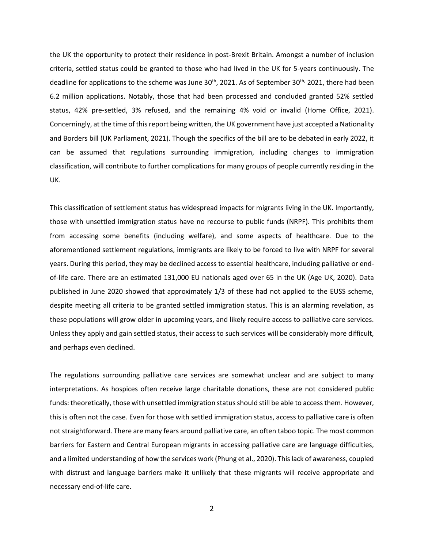the UK the opportunity to protect their residence in post-Brexit Britain. Amongst a number of inclusion criteria, settled status could be granted to those who had lived in the UK for 5-years continuously. The deadline for applications to the scheme was June 30<sup>th</sup>, 2021. As of September 30<sup>th,</sup> 2021, there had been 6.2 million applications. Notably, those that had been processed and concluded granted 52% settled status, 42% pre-settled, 3% refused, and the remaining 4% void or invalid (Home Office, 2021). Concerningly, at the time of this report being written, the UK government have just accepted a Nationality and Borders bill (UK Parliament, 2021). Though the specifics of the bill are to be debated in early 2022, it can be assumed that regulations surrounding immigration, including changes to immigration classification, will contribute to further complications for many groups of people currently residing in the UK.

This classification of settlement status has widespread impacts for migrants living in the UK. Importantly, those with unsettled immigration status have no recourse to public funds (NRPF). This prohibits them from accessing some benefits (including welfare), and some aspects of healthcare. Due to the aforementioned settlement regulations, immigrants are likely to be forced to live with NRPF for several years. During this period, they may be declined access to essential healthcare, including palliative or endof-life care. There are an estimated 131,000 EU nationals aged over 65 in the UK (Age UK, 2020). Data published in June 2020 showed that approximately 1/3 of these had not applied to the EUSS scheme, despite meeting all criteria to be granted settled immigration status. This is an alarming revelation, as these populations will grow older in upcoming years, and likely require access to palliative care services. Unless they apply and gain settled status, their access to such services will be considerably more difficult, and perhaps even declined.

The regulations surrounding palliative care services are somewhat unclear and are subject to many interpretations. As hospices often receive large charitable donations, these are not considered public funds: theoretically, those with unsettled immigration status should still be able to access them. However, this is often not the case. Even for those with settled immigration status, access to palliative care is often not straightforward. There are many fears around palliative care, an often taboo topic. The most common barriers for Eastern and Central European migrants in accessing palliative care are language difficulties, and a limited understanding of how the services work (Phung et al., 2020). This lack of awareness, coupled with distrust and language barriers make it unlikely that these migrants will receive appropriate and necessary end-of-life care.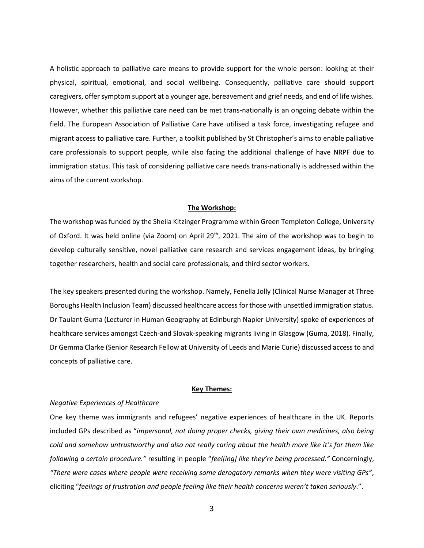A holistic approach to palliative care means to provide support for the whole person: looking at their physical, spiritual, emotional, and social wellbeing. Consequently, palliative care should support caregivers, offer symptom support at a younger age, bereavement and grief needs, and end of life wishes. However, whether this palliative care need can be met trans-nationally is an ongoing debate within the field. The European Association of Palliative Care have utilised a task force, investigating refugee and migrant access to palliative care. Further, a toolkit published by St Christopher's aims to enable palliative care professionals to support people, while also facing the additional challenge of have NRPF due to immigration status. This task of considering palliative care needs trans-nationally is addressed within the aims of the current workshop.

## **The Workshop:**

The workshop was funded by the Sheila Kitzinger Programme within Green Templeton College, University of Oxford. It was held online (via Zoom) on April 29<sup>th</sup>, 2021. The aim of the workshop was to begin to develop culturally sensitive, novel palliative care research and services engagement ideas, by bringing together researchers, health and social care professionals, and third sector workers.

The key speakers presented during the workshop. Namely, Fenella Jolly (Clinical Nurse Manager at Three Boroughs Health Inclusion Team) discussed healthcare access for those with unsettled immigration status. Dr Taulant Guma (Lecturer in Human Geography at Edinburgh Napier University) spoke of experiences of healthcare services amongst Czech-and Slovak-speaking migrants living in Glasgow (Guma, 2018). Finally, Dr Gemma Clarke (Senior Research Fellow at University of Leeds and Marie Curie) discussed access to and concepts of palliative care.

#### **Key Themes:**

## *Negative Experiences of Healthcare*

One key theme was immigrants and refugees' negative experiences of healthcare in the UK. Reports included GPs described as "*impersonal, not doing proper checks, giving their own medicines, also being cold and somehow untrustworthy and also not really caring about the health more like it's for them like following a certain procedure."* resulting in people "*feel[ing] like they're being processed."* Concerningly, *"There were cases where people were receiving some derogatory remarks when they were visiting GPs"*, eliciting "*feelings of frustration and people feeling like their health concerns weren't taken seriously*.".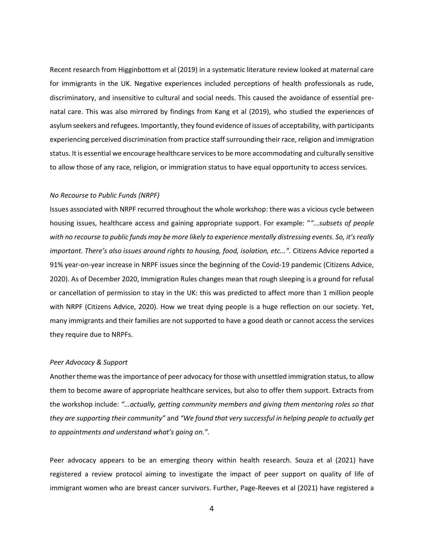Recent research from Higginbottom et al (2019) in a systematic literature review looked at maternal care for immigrants in the UK. Negative experiences included perceptions of health professionals as rude, discriminatory, and insensitive to cultural and social needs. This caused the avoidance of essential prenatal care. This was also mirrored by findings from Kang et al (2019), who studied the experiences of asylum seekers and refugees. Importantly, they found evidence of issues of acceptability, with participants experiencing perceived discrimination from practice staff surrounding their race, religion and immigration status. It is essential we encourage healthcare services to be more accommodating and culturally sensitive to allow those of any race, religion, or immigration status to have equal opportunity to access services.

#### *No Recourse to Public Funds (NRPF)*

Issues associated with NRPF recurred throughout the whole workshop: there was a vicious cycle between housing issues, healthcare access and gaining appropriate support. For example: "*"...subsets of people with no recourse to public funds may be more likely to experience mentally distressing events. So, it's really important. There's also issues around rights to housing, food, isolation, etc...".* Citizens Advice reported a 91% year-on-year increase in NRPF issues since the beginning of the Covid-19 pandemic (Citizens Advice, 2020). As of December 2020, Immigration Rules changes mean that rough sleeping is a ground for refusal or cancellation of permission to stay in the UK: this was predicted to affect more than 1 million people with NRPF (Citizens Advice, 2020). How we treat dying people is a huge reflection on our society. Yet, many immigrants and their families are not supported to have a good death or cannot access the services they require due to NRPFs.

# *Peer Advocacy & Support*

Another theme was the importance of peer advocacy for those with unsettled immigration status, to allow them to become aware of appropriate healthcare services, but also to offer them support. Extracts from the workshop include: *"...actually, getting community members and giving them mentoring roles so that they are supporting their community"* and *"We found that very successful in helping people to actually get to appointments and understand what's going on.".* 

Peer advocacy appears to be an emerging theory within health research. Souza et al (2021) have registered a review protocol aiming to investigate the impact of peer support on quality of life of immigrant women who are breast cancer survivors. Further, Page-Reeves et al (2021) have registered a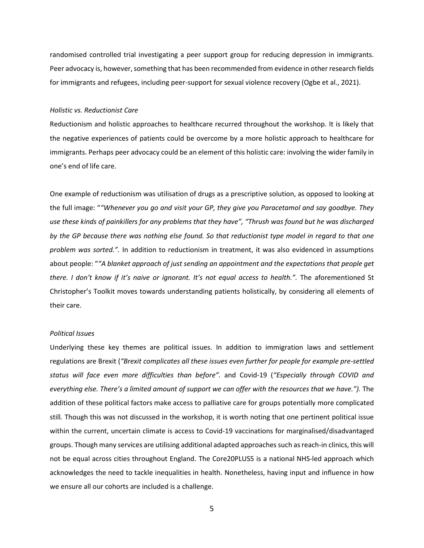randomised controlled trial investigating a peer support group for reducing depression in immigrants. Peer advocacy is, however, something that has been recommended from evidence in other research fields for immigrants and refugees, including peer-support for sexual violence recovery (Ogbe et al., 2021).

# *Holistic vs. Reductionist Care*

Reductionism and holistic approaches to healthcare recurred throughout the workshop. It is likely that the negative experiences of patients could be overcome by a more holistic approach to healthcare for immigrants. Perhaps peer advocacy could be an element of this holistic care: involving the wider family in one's end of life care.

One example of reductionism was utilisation of drugs as a prescriptive solution, as opposed to looking at the full image: "*"Whenever you go and visit your GP, they give you Paracetamol and say goodbye. They use these kinds of painkillers for any problems that they have", "Thrush was found but he was discharged by the GP because there was nothing else found. So that reductionist type model in regard to that one problem was sorted.".* In addition to reductionism in treatment, it was also evidenced in assumptions about people: "*"A blanket approach of just sending an appointment and the expectations that people get there. I don't know if it's naive or ignorant. It's not equal access to health.". The aforementioned St* Christopher's Toolkit moves towards understanding patients holistically, by considering all elements of their care.

#### *Political Issues*

Underlying these key themes are political issues. In addition to immigration laws and settlement regulations are Brexit (*"Brexit complicates all these issues even further for people for example pre-settled status will face even more difficulties than before".* and Covid-19 (*"Especially through COVID and everything else. There's a limited amount of support we can offer with the resources that we have.").* The addition of these political factors make access to palliative care for groups potentially more complicated still*.* Though this was not discussed in the workshop, it is worth noting that one pertinent political issue within the current, uncertain climate is access to Covid-19 vaccinations for marginalised/disadvantaged groups. Though many services are utilising additional adapted approaches such as reach-in clinics, this will not be equal across cities throughout England. The Core20PLUS5 is a national NHS-led approach which acknowledges the need to tackle inequalities in health. Nonetheless, having input and influence in how we ensure all our cohorts are included is a challenge.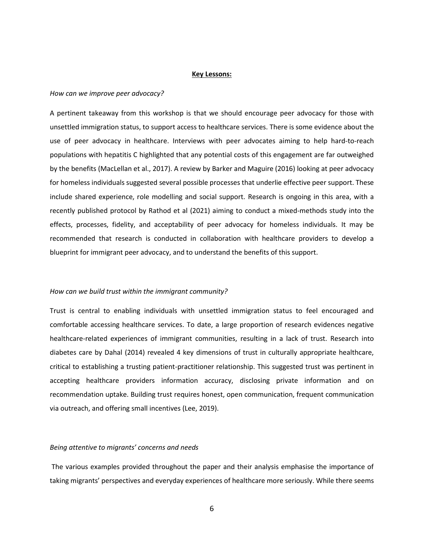#### **Key Lessons:**

#### *How can we improve peer advocacy?*

A pertinent takeaway from this workshop is that we should encourage peer advocacy for those with unsettled immigration status, to support access to healthcare services. There is some evidence about the use of peer advocacy in healthcare. Interviews with peer advocates aiming to help hard-to-reach populations with hepatitis C highlighted that any potential costs of this engagement are far outweighed by the benefits (MacLellan et al., 2017). A review by Barker and Maguire (2016) looking at peer advocacy for homeless individuals suggested several possible processes that underlie effective peer support. These include shared experience, role modelling and social support. Research is ongoing in this area, with a recently published protocol by Rathod et al (2021) aiming to conduct a mixed-methods study into the effects, processes, fidelity, and acceptability of peer advocacy for homeless individuals. It may be recommended that research is conducted in collaboration with healthcare providers to develop a blueprint for immigrant peer advocacy, and to understand the benefits of this support.

# *How can we build trust within the immigrant community?*

Trust is central to enabling individuals with unsettled immigration status to feel encouraged and comfortable accessing healthcare services. To date, a large proportion of research evidences negative healthcare-related experiences of immigrant communities, resulting in a lack of trust. Research into diabetes care by Dahal (2014) revealed 4 key dimensions of trust in culturally appropriate healthcare, critical to establishing a trusting patient-practitioner relationship. This suggested trust was pertinent in accepting healthcare providers information accuracy, disclosing private information and on recommendation uptake. Building trust requires honest, open communication, frequent communication via outreach, and offering small incentives (Lee, 2019).

## *Being attentive to migrants' concerns and needs*

The various examples provided throughout the paper and their analysis emphasise the importance of taking migrants' perspectives and everyday experiences of healthcare more seriously. While there seems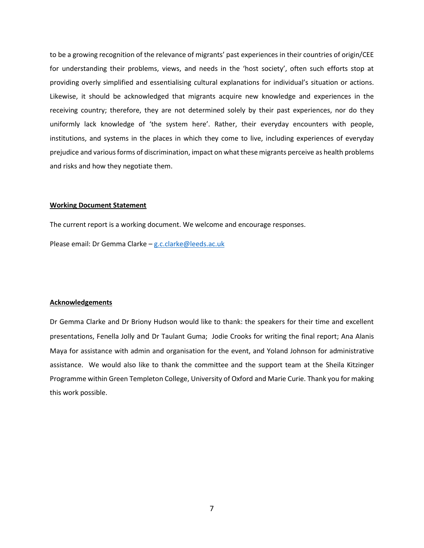to be a growing recognition of the relevance of migrants' past experiences in their countries of origin/CEE for understanding their problems, views, and needs in the 'host society', often such efforts stop at providing overly simplified and essentialising cultural explanations for individual's situation or actions. Likewise, it should be acknowledged that migrants acquire new knowledge and experiences in the receiving country; therefore, they are not determined solely by their past experiences, nor do they uniformly lack knowledge of 'the system here'. Rather, their everyday encounters with people, institutions, and systems in the places in which they come to live, including experiences of everyday prejudice and various forms of discrimination, impact on what these migrants perceive as health problems and risks and how they negotiate them.

# **Working Document Statement**

The current report is a working document. We welcome and encourage responses.

Please email: Dr Gemma Clarke – [g.c.clarke@leeds.ac.uk](mailto:g.c.clarke@leeds.ac.uk)

#### **Acknowledgements**

Dr Gemma Clarke and Dr Briony Hudson would like to thank: the speakers for their time and excellent presentations, Fenella Jolly and Dr Taulant Guma; Jodie Crooks for writing the final report; Ana Alanis Maya for assistance with admin and organisation for the event, and Yoland Johnson for administrative assistance. We would also like to thank the committee and the support team at the Sheila Kitzinger Programme within Green Templeton College, University of Oxford and Marie Curie. Thank you for making this work possible.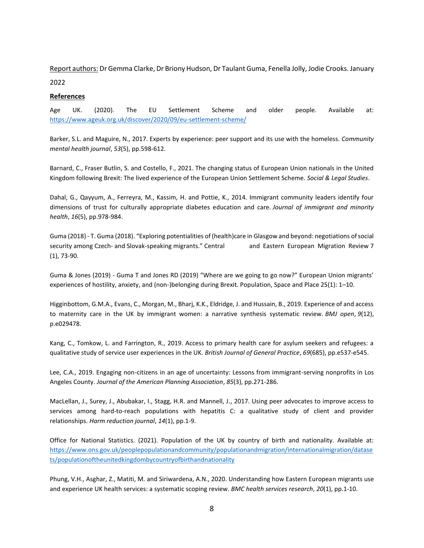Report authors: Dr Gemma Clarke, Dr Briony Hudson, Dr Taulant Guma, Fenella Jolly, Jodie Crooks. January 2022

# **References**

Age UK. (2020). The EU Settlement Scheme and older people. Available at: <https://www.ageuk.org.uk/discover/2020/09/eu-settlement-scheme/>

Barker, S.L. and Maguire, N., 2017. Experts by experience: peer support and its use with the homeless. *Community mental health journal*, *53*(5), pp.598-612.

Barnard, C., Fraser Butlin, S. and Costello, F., 2021. The changing status of European Union nationals in the United Kingdom following Brexit: The lived experience of the European Union Settlement Scheme. *Social & Legal Studies*.

Dahal, G., Qayyum, A., Ferreyra, M., Kassim, H. and Pottie, K., 2014. Immigrant community leaders identify four dimensions of trust for culturally appropriate diabetes education and care. *Journal of immigrant and minority health*, *16*(5), pp.978-984.

Guma (2018) - T. Guma (2018). "Exploring potentialities of (health)care in Glasgow and beyond: negotiations of social security among Czech- and Slovak-speaking migrants." Central and Eastern European Migration Review 7 (1), 73-90.

Guma & Jones (2019) - Guma T and Jones RD (2019) "Where are we going to go now?" European Union migrants' experiences of hostility, anxiety, and (non-)belonging during Brexit. Population, Space and Place 25(1): 1–10.

Higginbottom, G.M.A., Evans, C., Morgan, M., Bharj, K.K., Eldridge, J. and Hussain, B., 2019. Experience of and access to maternity care in the UK by immigrant women: a narrative synthesis systematic review. *BMJ open*, *9*(12), p.e029478.

Kang, C., Tomkow, L. and Farrington, R., 2019. Access to primary health care for asylum seekers and refugees: a qualitative study of service user experiences in the UK. *British Journal of General Practice*, *69*(685), pp.e537-e545.

Lee, C.A., 2019. Engaging non-citizens in an age of uncertainty: Lessons from immigrant-serving nonprofits in Los Angeles County. *Journal of the American Planning Association*, *85*(3), pp.271-286.

MacLellan, J., Surey, J., Abubakar, I., Stagg, H.R. and Mannell, J., 2017. Using peer advocates to improve access to services among hard-to-reach populations with hepatitis C: a qualitative study of client and provider relationships. *Harm reduction journal*, *14*(1), pp.1-9.

Office for National Statistics. (2021). Population of the UK by country of birth and nationality. Available at: [https://www.ons.gov.uk/peoplepopulationandcommunity/populationandmigration/internationalmigration/datase](https://www.ons.gov.uk/peoplepopulationandcommunity/populationandmigration/internationalmigration/datasets/populationoftheunitedkingdombycountryofbirthandnationality) [ts/populationoftheunitedkingdombycountryofbirthandnationality](https://www.ons.gov.uk/peoplepopulationandcommunity/populationandmigration/internationalmigration/datasets/populationoftheunitedkingdombycountryofbirthandnationality)

Phung, V.H., Asghar, Z., Matiti, M. and Siriwardena, A.N., 2020. Understanding how Eastern European migrants use and experience UK health services: a systematic scoping review. *BMC health services research*, *20*(1), pp.1-10.